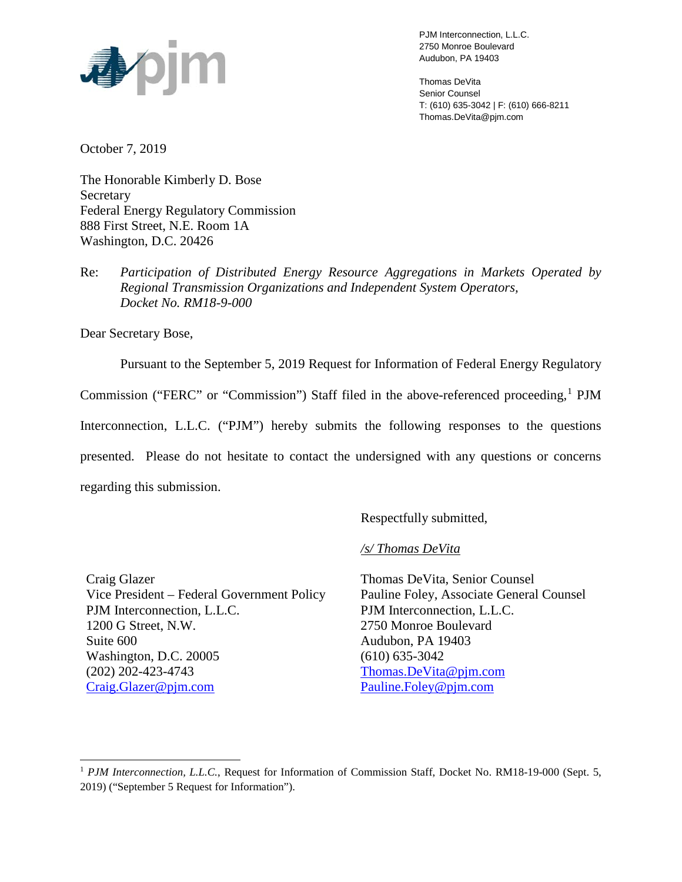

PJM Interconnection, L.L.C. 2750 Monroe Boulevard Audubon, PA 19403

Thomas DeVita Senior Counsel T: (610) 635-3042 | F: (610) 666-8211 Thomas.DeVita@pjm.com

October 7, 2019

The Honorable Kimberly D. Bose Secretary Federal Energy Regulatory Commission 888 First Street, N.E. Room 1A Washington, D.C. 20426

Re: *Participation of Distributed Energy Resource Aggregations in Markets Operated by Regional Transmission Organizations and Independent System Operators, Docket No. RM18-9-000*

Dear Secretary Bose,

Pursuant to the September 5, 2019 Request for Information of Federal Energy Regulatory

Commission ("FERC" or "Commission") Staff filed in the above-referenced proceeding,  ${}^{1}$  ${}^{1}$  ${}^{1}$  PJM

Interconnection, L.L.C. ("PJM") hereby submits the following responses to the questions

presented. Please do not hesitate to contact the undersigned with any questions or concerns

regarding this submission.

Respectfully submitted,

*/s/ Thomas DeVita*

Craig Glazer Vice President – Federal Government Policy PJM Interconnection, L.L.C. 1200 G Street, N.W. Suite 600 Washington, D.C. 20005 (202) 202-423-4743 [Craig.Glazer@pjm.com](mailto:Craig.Glazer@pjm.com)

Thomas DeVita, Senior Counsel Pauline Foley, Associate General Counsel PJM Interconnection, L.L.C. 2750 Monroe Boulevard Audubon, PA 19403 (610) 635-3042 [Thomas.DeVita@pjm.com](mailto:Thomas.DeVita@pjm.com) [Pauline.Foley@pjm.com](mailto:Jennifer.Tribulski@pjm.com)

<span id="page-0-0"></span><sup>&</sup>lt;sup>1</sup> *PJM Interconnection, L.L.C.*, Request for Information of Commission Staff, Docket No. RM18-19-000 (Sept. 5, 2019) ("September 5 Request for Information").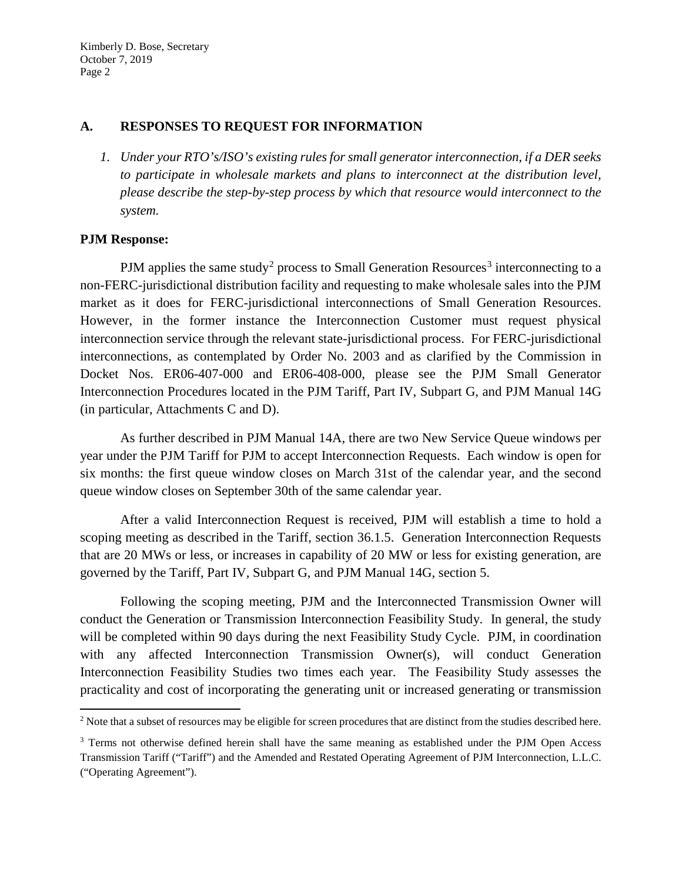### **A. RESPONSES TO REQUEST FOR INFORMATION**

*1. Under your RTO's/ISO's existing rules for small generator interconnection, if a DER seeks to participate in wholesale markets and plans to interconnect at the distribution level, please describe the step-by-step process by which that resource would interconnect to the system.* 

## **PJM Response:**

PJM applies the same study<sup>[2](#page-1-0)</sup> process to Small Generation Resources<sup>[3](#page-1-1)</sup> interconnecting to a non-FERC-jurisdictional distribution facility and requesting to make wholesale sales into the PJM market as it does for FERC-jurisdictional interconnections of Small Generation Resources. However, in the former instance the Interconnection Customer must request physical interconnection service through the relevant state-jurisdictional process. For FERC-jurisdictional interconnections, as contemplated by Order No. 2003 and as clarified by the Commission in Docket Nos. ER06-407-000 and ER06-408-000, please see the PJM Small Generator Interconnection Procedures located in the PJM Tariff, Part IV, Subpart G, and PJM Manual 14G (in particular, Attachments C and D).

As further described in PJM Manual 14A, there are two New Service Queue windows per year under the PJM Tariff for PJM to accept Interconnection Requests. Each window is open for six months: the first queue window closes on March 31st of the calendar year, and the second queue window closes on September 30th of the same calendar year.

After a valid Interconnection Request is received, PJM will establish a time to hold a scoping meeting as described in the Tariff, section 36.1.5. Generation Interconnection Requests that are 20 MWs or less, or increases in capability of 20 MW or less for existing generation, are governed by the Tariff, Part IV, Subpart G, and PJM Manual 14G, section 5.

Following the scoping meeting, PJM and the Interconnected Transmission Owner will conduct the Generation or Transmission Interconnection Feasibility Study. In general, the study will be completed within 90 days during the next Feasibility Study Cycle. PJM, in coordination with any affected Interconnection Transmission Owner(s), will conduct Generation Interconnection Feasibility Studies two times each year. The Feasibility Study assesses the practicality and cost of incorporating the generating unit or increased generating or transmission

<span id="page-1-0"></span><sup>&</sup>lt;sup>2</sup> Note that a subset of resources may be eligible for screen procedures that are distinct from the studies described here.

<span id="page-1-1"></span><sup>&</sup>lt;sup>3</sup> Terms not otherwise defined herein shall have the same meaning as established under the PJM Open Access Transmission Tariff ("Tariff") and the Amended and Restated Operating Agreement of PJM Interconnection, L.L.C. ("Operating Agreement").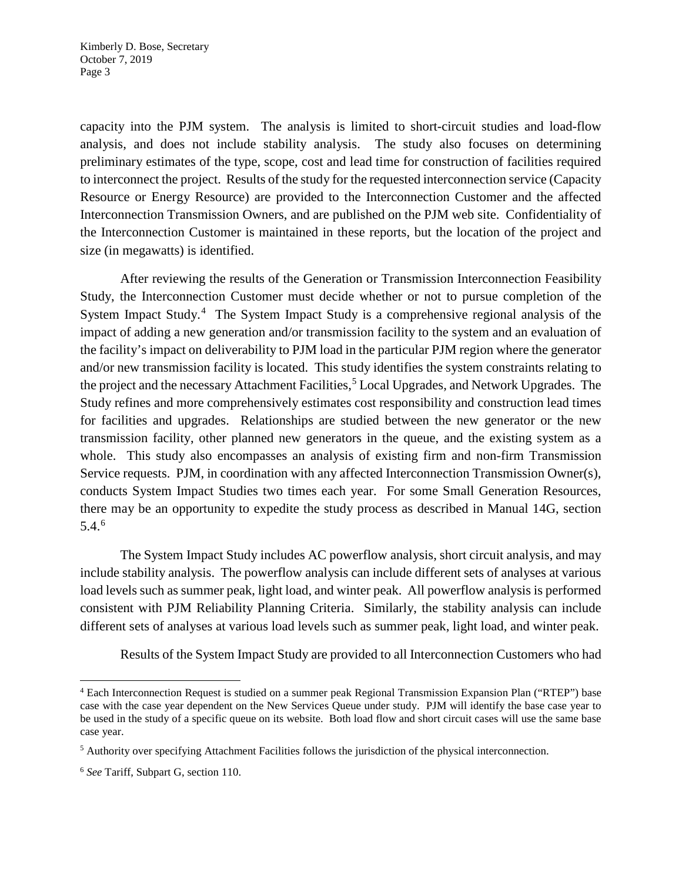capacity into the PJM system. The analysis is limited to short-circuit studies and load-flow analysis, and does not include stability analysis. The study also focuses on determining preliminary estimates of the type, scope, cost and lead time for construction of facilities required to interconnect the project. Results of the study for the requested interconnection service (Capacity Resource or Energy Resource) are provided to the Interconnection Customer and the affected Interconnection Transmission Owners, and are published on the PJM web site. Confidentiality of the Interconnection Customer is maintained in these reports, but the location of the project and size (in megawatts) is identified.

After reviewing the results of the Generation or Transmission Interconnection Feasibility Study, the Interconnection Customer must decide whether or not to pursue completion of the System Impact Study.<sup>[4](#page-2-0)</sup> The System Impact Study is a comprehensive regional analysis of the impact of adding a new generation and/or transmission facility to the system and an evaluation of the facility's impact on deliverability to PJM load in the particular PJM region where the generator and/or new transmission facility is located. This study identifies the system constraints relating to the project and the necessary Attachment Facilities, [5](#page-2-1) Local Upgrades, and Network Upgrades. The Study refines and more comprehensively estimates cost responsibility and construction lead times for facilities and upgrades. Relationships are studied between the new generator or the new transmission facility, other planned new generators in the queue, and the existing system as a whole. This study also encompasses an analysis of existing firm and non-firm Transmission Service requests. PJM, in coordination with any affected Interconnection Transmission Owner(s), conducts System Impact Studies two times each year. For some Small Generation Resources, there may be an opportunity to expedite the study process as described in Manual 14G, section 5.4. [6](#page-2-2)

The System Impact Study includes AC powerflow analysis, short circuit analysis, and may include stability analysis. The powerflow analysis can include different sets of analyses at various load levels such as summer peak, light load, and winter peak. All powerflow analysis is performed consistent with PJM Reliability Planning Criteria. Similarly, the stability analysis can include different sets of analyses at various load levels such as summer peak, light load, and winter peak.

Results of the System Impact Study are provided to all Interconnection Customers who had

<span id="page-2-0"></span> <sup>4</sup> Each Interconnection Request is studied on a summer peak Regional Transmission Expansion Plan ("RTEP") base case with the case year dependent on the New Services Queue under study. PJM will identify the base case year to be used in the study of a specific queue on its website. Both load flow and short circuit cases will use the same base case year.

<span id="page-2-1"></span><sup>5</sup> Authority over specifying Attachment Facilities follows the jurisdiction of the physical interconnection.

<span id="page-2-2"></span><sup>6</sup> *See* Tariff, Subpart G, section 110.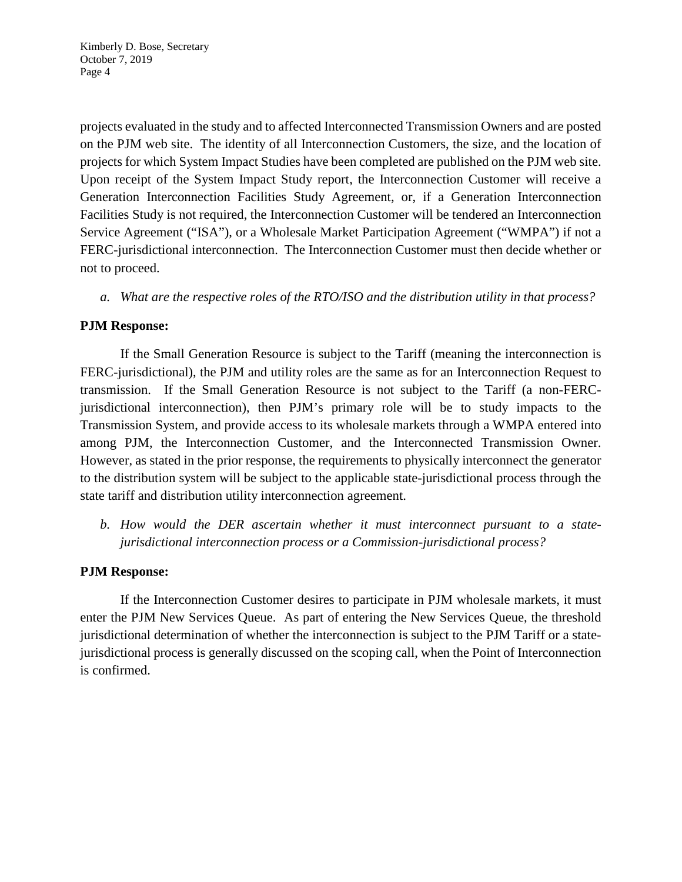projects evaluated in the study and to affected Interconnected Transmission Owners and are posted on the PJM web site. The identity of all Interconnection Customers, the size, and the location of projects for which System Impact Studies have been completed are published on the PJM web site. Upon receipt of the System Impact Study report, the Interconnection Customer will receive a Generation Interconnection Facilities Study Agreement, or, if a Generation Interconnection Facilities Study is not required, the Interconnection Customer will be tendered an Interconnection Service Agreement ("ISA"), or a Wholesale Market Participation Agreement ("WMPA") if not a FERC-jurisdictional interconnection. The Interconnection Customer must then decide whether or not to proceed.

*a. What are the respective roles of the RTO/ISO and the distribution utility in that process?* 

# **PJM Response:**

If the Small Generation Resource is subject to the Tariff (meaning the interconnection is FERC-jurisdictional), the PJM and utility roles are the same as for an Interconnection Request to transmission. If the Small Generation Resource is not subject to the Tariff (a non-FERCjurisdictional interconnection), then PJM's primary role will be to study impacts to the Transmission System, and provide access to its wholesale markets through a WMPA entered into among PJM, the Interconnection Customer, and the Interconnected Transmission Owner. However, as stated in the prior response, the requirements to physically interconnect the generator to the distribution system will be subject to the applicable state-jurisdictional process through the state tariff and distribution utility interconnection agreement.

*b. How would the DER ascertain whether it must interconnect pursuant to a statejurisdictional interconnection process or a Commission-jurisdictional process?*

### **PJM Response:**

If the Interconnection Customer desires to participate in PJM wholesale markets, it must enter the PJM New Services Queue. As part of entering the New Services Queue, the threshold jurisdictional determination of whether the interconnection is subject to the PJM Tariff or a statejurisdictional process is generally discussed on the scoping call, when the Point of Interconnection is confirmed.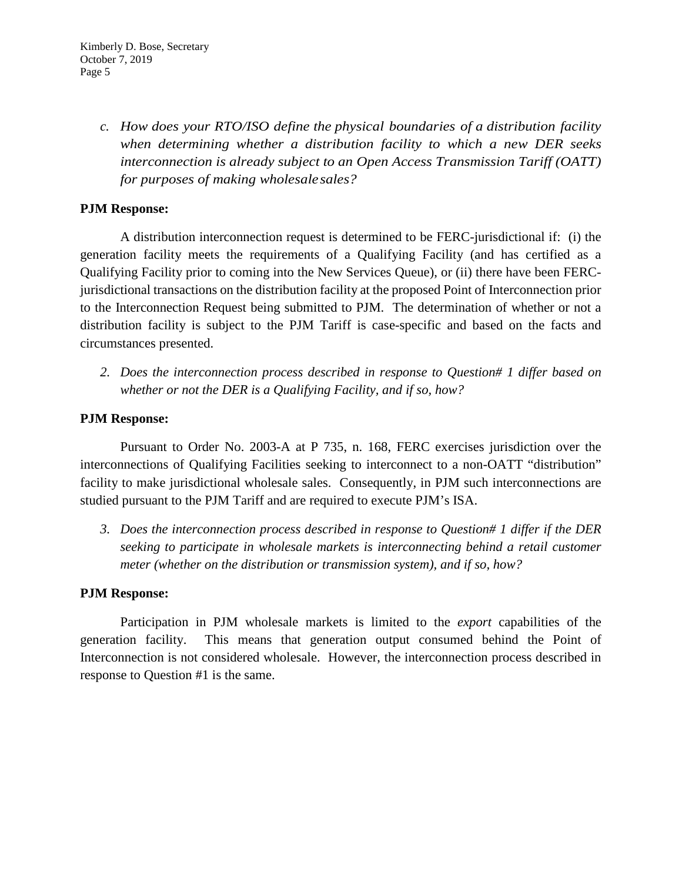*c. How does your RTO/ISO define the physical boundaries of a distribution facility when determining whether a distribution facility to which a new DER seeks interconnection is already subject to an Open Access Transmission Tariff (OATT) for purposes of making wholesalesales?*

# **PJM Response:**

A distribution interconnection request is determined to be FERC-jurisdictional if: (i) the generation facility meets the requirements of a Qualifying Facility (and has certified as a Qualifying Facility prior to coming into the New Services Queue), or (ii) there have been FERCjurisdictional transactions on the distribution facility at the proposed Point of Interconnection prior to the Interconnection Request being submitted to PJM. The determination of whether or not a distribution facility is subject to the PJM Tariff is case-specific and based on the facts and circumstances presented.

*2. Does the interconnection process described in response to Question# 1 differ based on whether or not the DER is a Qualifying Facility, and if so, how?*

### **PJM Response:**

Pursuant to Order No. 2003-A at P 735, n. 168, FERC exercises jurisdiction over the interconnections of Qualifying Facilities seeking to interconnect to a non-OATT "distribution" facility to make jurisdictional wholesale sales. Consequently, in PJM such interconnections are studied pursuant to the PJM Tariff and are required to execute PJM's ISA.

*3. Does the interconnection process described in response to Question# 1 differ if the DER seeking to participate in wholesale markets is interconnecting behind a retail customer meter (whether on the distribution or transmission system), and if so, how?*

### **PJM Response:**

Participation in PJM wholesale markets is limited to the *export* capabilities of the generation facility. This means that generation output consumed behind the Point of Interconnection is not considered wholesale. However, the interconnection process described in response to Question #1 is the same.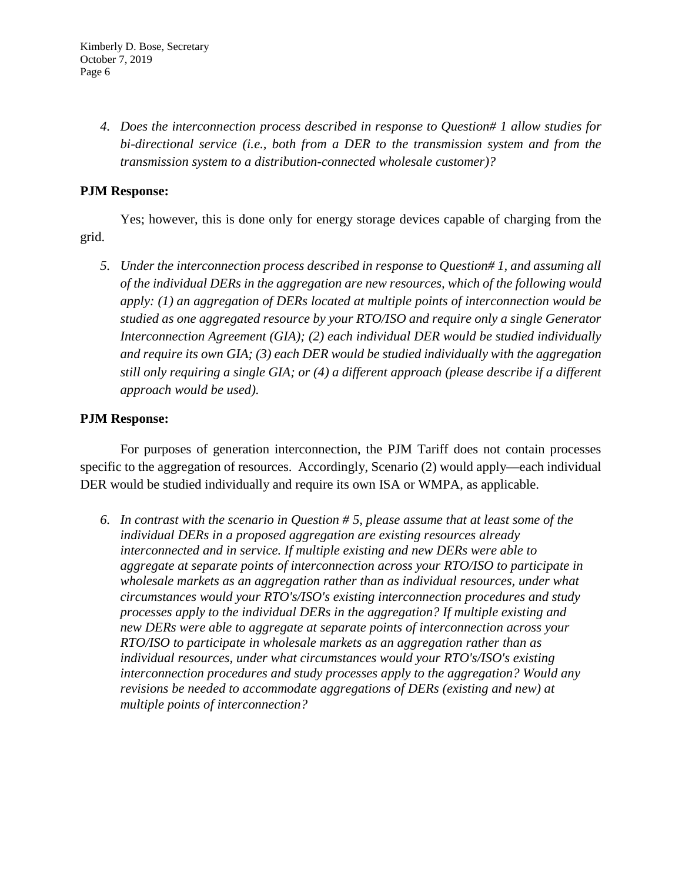*4. Does the interconnection process described in response to Question# 1 allow studies for bi-directional service (i.e., both from a DER to the transmission system and from the transmission system to a distribution-connected wholesale customer)?*

# **PJM Response:**

Yes; however, this is done only for energy storage devices capable of charging from the grid.

*5. Under the interconnection process described in response to Question# 1, and assuming all of the individual DERs in the aggregation are new resources, which of the following would apply: (1) an aggregation of DERs located at multiple points of interconnection would be studied as one aggregated resource by your RTO/ISO and require only a single Generator Interconnection Agreement (GIA); (2) each individual DER would be studied individually and require its own GIA; (3) each DER would be studied individually with the aggregation still only requiring a single GIA; or (4) a different approach (please describe if a different approach would be used).*

#### **PJM Response:**

For purposes of generation interconnection, the PJM Tariff does not contain processes specific to the aggregation of resources. Accordingly, Scenario (2) would apply—each individual DER would be studied individually and require its own ISA or WMPA, as applicable.

*6. In contrast with the scenario in Question # 5, please assume that at least some of the individual DERs in a proposed aggregation are existing resources already interconnected and in service. If multiple existing and new DERs were able to aggregate at separate points of interconnection across your RTO/ISO to participate in*  wholesale markets as an aggregation rather than as individual resources, under what *circumstances would your RTO's/ISO's existing interconnection procedures and study processes apply to the individual DERs in the aggregation? If multiple existing and new DERs were able to aggregate at separate points of interconnection across your RTO/ISO to participate in wholesale markets as an aggregation rather than as individual resources, under what circumstances would your RTO's/ISO's existing interconnection procedures and study processes apply to the aggregation? Would any revisions be needed to accommodate aggregations of DERs (existing and new) at multiple points of interconnection?*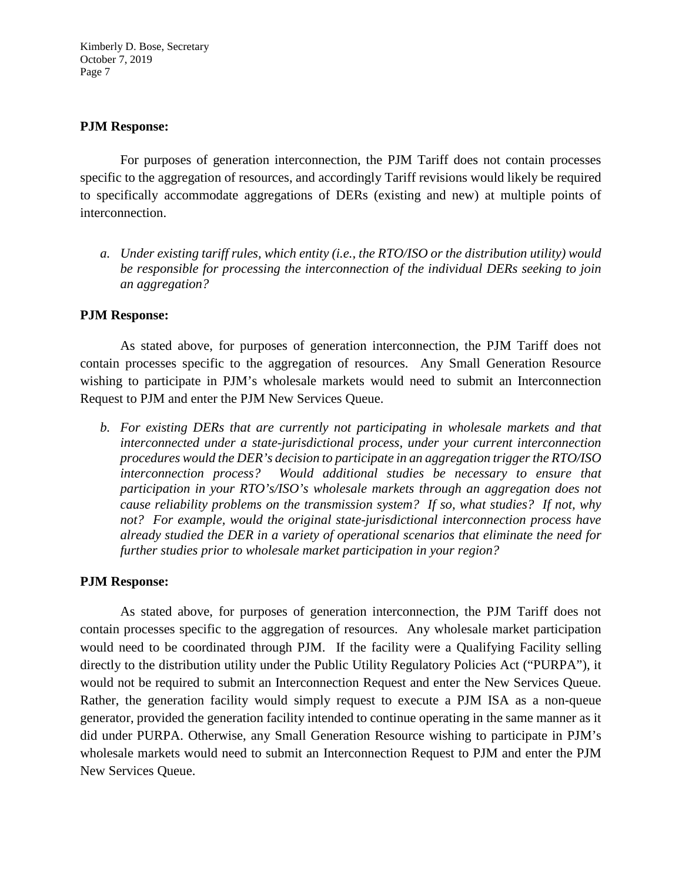#### **PJM Response:**

For purposes of generation interconnection, the PJM Tariff does not contain processes specific to the aggregation of resources, and accordingly Tariff revisions would likely be required to specifically accommodate aggregations of DERs (existing and new) at multiple points of interconnection.

*a. Under existing tariff rules, which entity (i.e., the RTO/ISO or the distribution utility) would be responsible for processing the interconnection of the individual DERs seeking to join an aggregation?*

### **PJM Response:**

As stated above, for purposes of generation interconnection, the PJM Tariff does not contain processes specific to the aggregation of resources. Any Small Generation Resource wishing to participate in PJM's wholesale markets would need to submit an Interconnection Request to PJM and enter the PJM New Services Queue.

*b. For existing DERs that are currently not participating in wholesale markets and that interconnected under a state-jurisdictional process, under your current interconnection procedures would the DER's decision to participate in an aggregation trigger the RTO/ISO interconnection process? Would additional studies be necessary to ensure that participation in your RTO's/ISO's wholesale markets through an aggregation does not cause reliability problems on the transmission system? If so, what studies? If not, why not? For example, would the original state-jurisdictional interconnection process have already studied the DER in a variety of operational scenarios that eliminate the need for further studies prior to wholesale market participation in your region?*

#### **PJM Response:**

As stated above, for purposes of generation interconnection, the PJM Tariff does not contain processes specific to the aggregation of resources. Any wholesale market participation would need to be coordinated through PJM. If the facility were a Qualifying Facility selling directly to the distribution utility under the Public Utility Regulatory Policies Act ("PURPA"), it would not be required to submit an Interconnection Request and enter the New Services Queue. Rather, the generation facility would simply request to execute a PJM ISA as a non-queue generator, provided the generation facility intended to continue operating in the same manner as it did under PURPA. Otherwise, any Small Generation Resource wishing to participate in PJM's wholesale markets would need to submit an Interconnection Request to PJM and enter the PJM New Services Queue.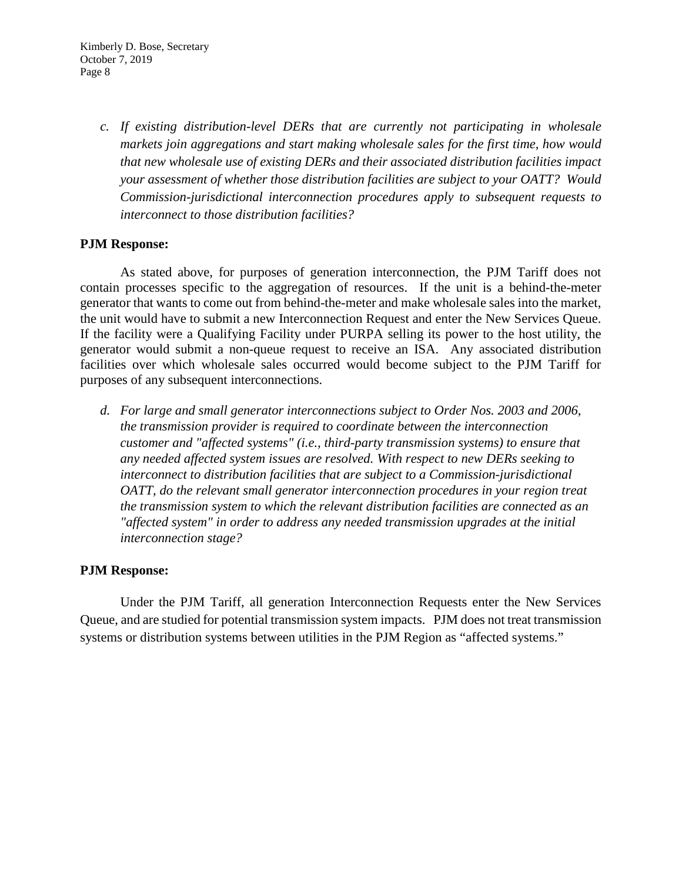*c. If existing distribution-level DERs that are currently not participating in wholesale markets join aggregations and start making wholesale sales for the first time, how would that new wholesale use of existing DERs and their associated distribution facilities impact your assessment of whether those distribution facilities are subject to your OATT? Would Commission-jurisdictional interconnection procedures apply to subsequent requests to interconnect to those distribution facilities?*

### **PJM Response:**

As stated above, for purposes of generation interconnection, the PJM Tariff does not contain processes specific to the aggregation of resources. If the unit is a behind-the-meter generator that wants to come out from behind-the-meter and make wholesale sales into the market, the unit would have to submit a new Interconnection Request and enter the New Services Queue. If the facility were a Qualifying Facility under PURPA selling its power to the host utility, the generator would submit a non-queue request to receive an ISA. Any associated distribution facilities over which wholesale sales occurred would become subject to the PJM Tariff for purposes of any subsequent interconnections.

*d. For large and small generator interconnections subject to Order Nos. 2003 and 2006, the transmission provider is required to coordinate between the interconnection customer and "affected systems" (i.e., third-party transmission systems) to ensure that any needed affected system issues are resolved. With respect to new DERs seeking to interconnect to distribution facilities that are subject to a Commission-jurisdictional OATT, do the relevant small generator interconnection procedures in your region treat the transmission system to which the relevant distribution facilities are connected as an "affected system" in order to address any needed transmission upgrades at the initial interconnection stage?*

# **PJM Response:**

Under the PJM Tariff, all generation Interconnection Requests enter the New Services Queue, and are studied for potential transmission system impacts. PJM does not treat transmission systems or distribution systems between utilities in the PJM Region as "affected systems."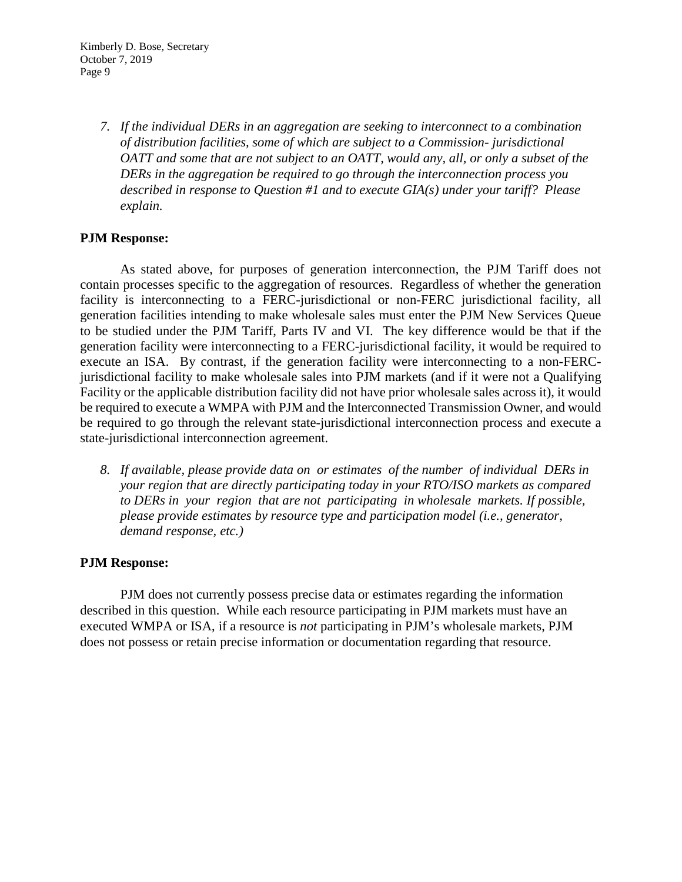*7. If the individual DERs in an aggregation are seeking to interconnect to a combination of distribution facilities, some of which are subject to a Commission- jurisdictional OATT and some that are not subject to an OATT, would any, all, or only a subset of the DERs in the aggregation be required to go through the interconnection process you described in response to Question #1 and to execute GIA(s) under your tariff? Please explain.*

## **PJM Response:**

As stated above, for purposes of generation interconnection, the PJM Tariff does not contain processes specific to the aggregation of resources. Regardless of whether the generation facility is interconnecting to a FERC-jurisdictional or non-FERC jurisdictional facility, all generation facilities intending to make wholesale sales must enter the PJM New Services Queue to be studied under the PJM Tariff, Parts IV and VI. The key difference would be that if the generation facility were interconnecting to a FERC-jurisdictional facility, it would be required to execute an ISA. By contrast, if the generation facility were interconnecting to a non-FERCjurisdictional facility to make wholesale sales into PJM markets (and if it were not a Qualifying Facility or the applicable distribution facility did not have prior wholesale sales across it), it would be required to execute a WMPA with PJM and the Interconnected Transmission Owner, and would be required to go through the relevant state-jurisdictional interconnection process and execute a state-jurisdictional interconnection agreement.

*8. If available, please provide data on or estimates of the number of individual DERs in your region that are directly participating today in your RTO/ISO markets as compared to DERs in your region that are not participating in wholesale markets. If possible, please provide estimates by resource type and participation model (i.e., generator, demand response, etc.)*

### **PJM Response:**

PJM does not currently possess precise data or estimates regarding the information described in this question. While each resource participating in PJM markets must have an executed WMPA or ISA, if a resource is *not* participating in PJM's wholesale markets, PJM does not possess or retain precise information or documentation regarding that resource.